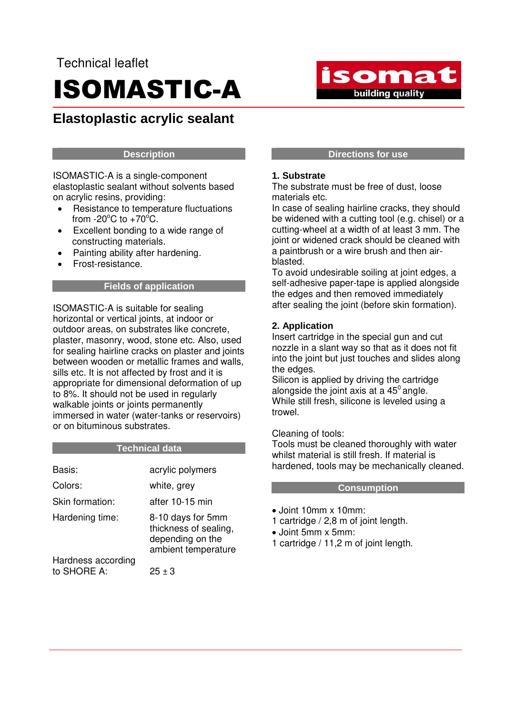# Technical leaflet ISOMASTIC-A

# **Elastoplastic acrylic sealant**

# **Description**

ISOMASTIC-A is a single-component elastoplastic sealant without solvents based on acrylic resins, providing:

- Resistance to temperature fluctuations from  $-20^{\circ}$ C to  $+70^{\circ}$ C.
- Excellent bonding to a wide range of constructing materials.
- Painting ability after hardening.
- Frost-resistance.

# **Fields of application**

ISOMASTIC-A is suitable for sealing horizontal or vertical joints, at indoor or outdoor areas, on substrates like concrete, plaster, masonry, wood, stone etc. Also, used for sealing hairline cracks on plaster and joints between wooden or metallic frames and walls, sills etc. It is not affected by frost and it is appropriate for dimensional deformation of up to 8%. It should not be used in regularly walkable joints or joints permanently immersed in water (water-tanks or reservoirs) or on bituminous substrates.

# **Technical data**

| Basis:                            | acrylic polymers                                                                      |
|-----------------------------------|---------------------------------------------------------------------------------------|
| Colors:                           | white, grey                                                                           |
| Skin formation:                   | after 10-15 min                                                                       |
| Hardening time:                   | 8-10 days for 5mm<br>thickness of sealing,<br>depending on the<br>ambient temperature |
| Hardness according<br>to SHORE A: | $25 + 3$                                                                              |

#### **Directions for use**

isomat

building quality

# **1. Substrate**

The substrate must be free of dust, loose materials etc.

In case of sealing hairline cracks, they should be widened with a cutting tool (e.g. chisel) or a cutting-wheel at a width of at least 3 mm. The joint or widened crack should be cleaned with a paintbrush or a wire brush and then airblasted.

To avoid undesirable soiling at joint edges, a self-adhesive paper-tape is applied alongside the edges and then removed immediately after sealing the joint (before skin formation).

# **2. Application**

Insert cartridge in the special gun and cut nozzle in a slant way so that as it does not fit into the joint but just touches and slides along the edges.

Silicon is applied by driving the cartridge alongside the joint axis at a  $45^\circ$  angle. While still fresh, silicone is leveled using a trowel.

# Cleaning of tools:

Tools must be cleaned thoroughly with water whilst material is still fresh. If material is hardened, tools may be mechanically cleaned.

# **Consumption**

- Joint 10mm x 10mm:
- 1 cartridge / 2,8 m of joint length.
- Joint 5mm x 5mm:
- 1 cartridge / 11,2 m of joint length.